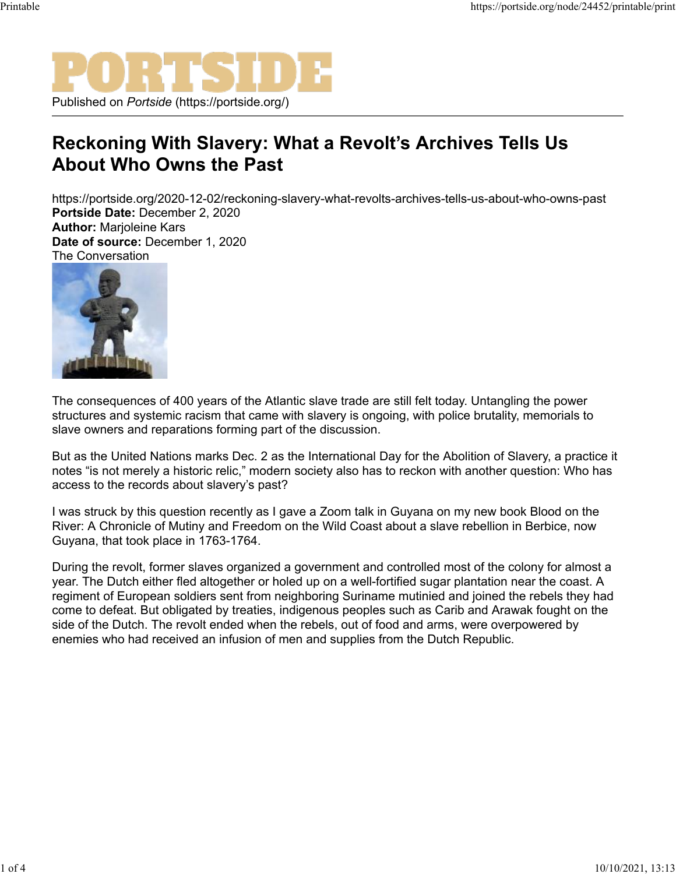

## **Reckoning With Slavery: What a Revolt's Archives Tells Us About Who Owns the Past**

https://portside.org/2020-12-02/reckoning-slavery-what-revolts-archives-tells-us-about-who-owns-past **Portside Date:** December 2, 2020 **Author:** Marjoleine Kars

**Date of source:** December 1, 2020 The Conversation



The consequences of 400 years of the Atlantic slave trade are still felt today. Untangling the power structures and systemic racism that came with slavery is ongoing, with police brutality, memorials to slave owners and reparations forming part of the discussion.

But as the United Nations marks Dec. 2 as the International Day for the Abolition of Slavery, a practice it notes "is not merely a historic relic," modern society also has to reckon with another question: Who has access to the records about slavery's past?

I was struck by this question recently as I gave a Zoom talk in Guyana on my new book Blood on the River: A Chronicle of Mutiny and Freedom on the Wild Coast about a slave rebellion in Berbice, now Guyana, that took place in 1763-1764.

During the revolt, former slaves organized a government and controlled most of the colony for almost a year. The Dutch either fled altogether or holed up on a well-fortified sugar plantation near the coast. A regiment of European soldiers sent from neighboring Suriname mutinied and joined the rebels they had come to defeat. But obligated by treaties, indigenous peoples such as Carib and Arawak fought on the side of the Dutch. The revolt ended when the rebels, out of food and arms, were overpowered by enemies who had received an infusion of men and supplies from the Dutch Republic.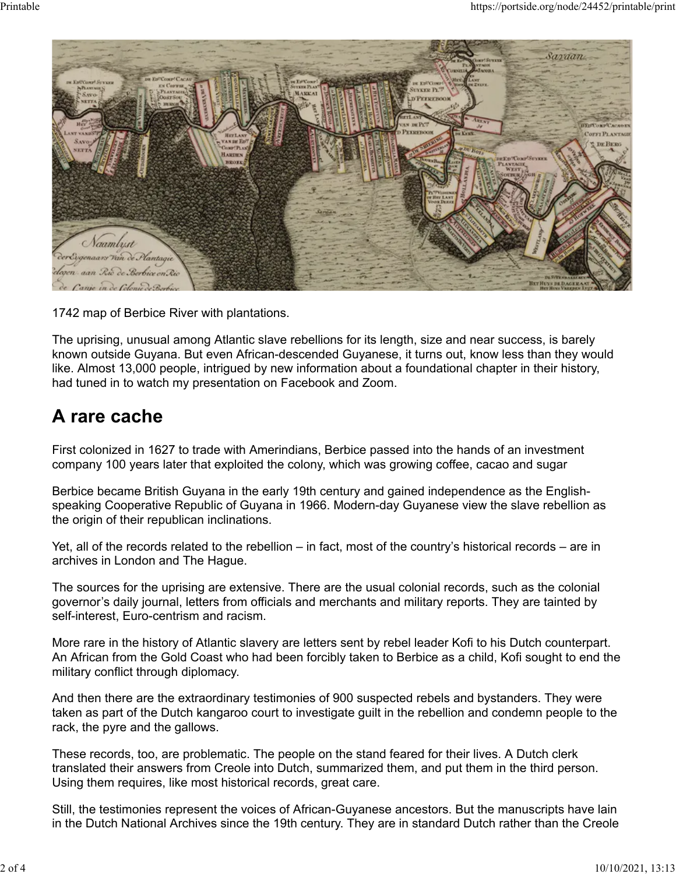

1742 map of Berbice River with plantations.

The uprising, unusual among Atlantic slave rebellions for its length, size and near success, is barely known outside Guyana. But even African-descended Guyanese, it turns out, know less than they would like. Almost 13,000 people, intrigued by new information about a foundational chapter in their history, had tuned in to watch my presentation on Facebook and Zoom.

## **A rare cache**

First colonized in 1627 to trade with Amerindians, Berbice passed into the hands of an investment company 100 years later that exploited the colony, which was growing coffee, cacao and sugar

Berbice became British Guyana in the early 19th century and gained independence as the Englishspeaking Cooperative Republic of Guyana in 1966. Modern-day Guyanese view the slave rebellion as the origin of their republican inclinations.

Yet, all of the records related to the rebellion – in fact, most of the country's historical records – are in archives in London and The Hague.

The sources for the uprising are extensive. There are the usual colonial records, such as the colonial governor's daily journal, letters from officials and merchants and military reports. They are tainted by self-interest, Euro-centrism and racism.

More rare in the history of Atlantic slavery are letters sent by rebel leader Kofi to his Dutch counterpart. An African from the Gold Coast who had been forcibly taken to Berbice as a child, Kofi sought to end the military conflict through diplomacy.

And then there are the extraordinary testimonies of 900 suspected rebels and bystanders. They were taken as part of the Dutch kangaroo court to investigate guilt in the rebellion and condemn people to the rack, the pyre and the gallows.

These records, too, are problematic. The people on the stand feared for their lives. A Dutch clerk translated their answers from Creole into Dutch, summarized them, and put them in the third person. Using them requires, like most historical records, great care.

Still, the testimonies represent the voices of African-Guyanese ancestors. But the manuscripts have lain in the Dutch National Archives since the 19th century. They are in standard Dutch rather than the Creole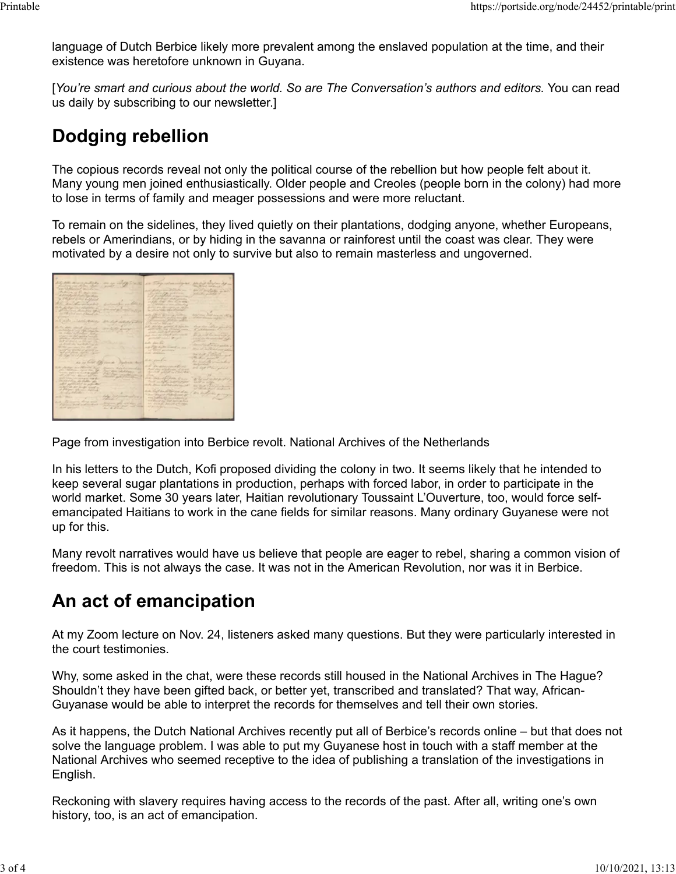language of Dutch Berbice likely more prevalent among the enslaved population at the time, and their existence was heretofore unknown in Guyana.

[*You're smart and curious about the world. So are The Conversation's authors and editors.* You can read us daily by subscribing to our newsletter.]

## **Dodging rebellion**

The copious records reveal not only the political course of the rebellion but how people felt about it. Many young men joined enthusiastically. Older people and Creoles (people born in the colony) had more to lose in terms of family and meager possessions and were more reluctant.

To remain on the sidelines, they lived quietly on their plantations, dodging anyone, whether Europeans, rebels or Amerindians, or by hiding in the savanna or rainforest until the coast was clear. They were motivated by a desire not only to survive but also to remain masterless and ungoverned.

| the Soll attracts and hall                                                                                                                                                                                                                                                                                                                                                                                                                                                                            | or or in 18 - a 10 in This is on miles<br>his short think on the most                  |
|-------------------------------------------------------------------------------------------------------------------------------------------------------------------------------------------------------------------------------------------------------------------------------------------------------------------------------------------------------------------------------------------------------------------------------------------------------------------------------------------------------|----------------------------------------------------------------------------------------|
| Contact and Marie Share<br>$\frac{1}{2} \left( \frac{1}{2} \right) \left( \frac{1}{2} \right) \left( \frac{1}{2} \right) \left( \frac{1}{2} \right) \left( \frac{1}{2} \right) \left( \frac{1}{2} \right) \left( \frac{1}{2} \right) \left( \frac{1}{2} \right) \left( \frac{1}{2} \right) \left( \frac{1}{2} \right) \left( \frac{1}{2} \right) \left( \frac{1}{2} \right) \left( \frac{1}{2} \right) \left( \frac{1}{2} \right) \left( \frac{1}{2} \right) \left( \frac{1}{2} \right) \left( \frac$ | the defend incidence !                                                                 |
| an Milleria Carrier                                                                                                                                                                                                                                                                                                                                                                                                                                                                                   |                                                                                        |
| the decision of the same way.                                                                                                                                                                                                                                                                                                                                                                                                                                                                         | an Harden and<br>and distinct the state of a                                           |
| distribution of the Control Controller                                                                                                                                                                                                                                                                                                                                                                                                                                                                | Bridgeway<br>and a second of                                                           |
| a statement to the Californial                                                                                                                                                                                                                                                                                                                                                                                                                                                                        | a distribute shake made                                                                |
|                                                                                                                                                                                                                                                                                                                                                                                                                                                                                                       | and all the state of the country and the                                               |
| brat method and believe<br>the common and send that                                                                                                                                                                                                                                                                                                                                                                                                                                                   | an Michellen or beautifulned by                                                        |
| to destroy can determine a                                                                                                                                                                                                                                                                                                                                                                                                                                                                            | short-three effectives and online                                                      |
| <b>Montant All Corp</b><br>all charlong throughout and<br><b>COLLEGE</b>                                                                                                                                                                                                                                                                                                                                                                                                                              | the following being a state of business.                                               |
| in the lot you though the                                                                                                                                                                                                                                                                                                                                                                                                                                                                             |                                                                                        |
|                                                                                                                                                                                                                                                                                                                                                                                                                                                                                                       | with Jule in an immunological<br>Artistance Distribution of                            |
|                                                                                                                                                                                                                                                                                                                                                                                                                                                                                                       | Latinary school and the<br>of their diversity and the<br>of month of the local bank of |
| Castle middle Charles<br>She four debt of out of                                                                                                                                                                                                                                                                                                                                                                                                                                                      | Charles Miller                                                                         |
| <b>STATISTICS</b>                                                                                                                                                                                                                                                                                                                                                                                                                                                                                     | A 20 Mill Min Jackett, N. Age, An<br>show that will had getting the                    |
| the date, should final early<br>and the games                                                                                                                                                                                                                                                                                                                                                                                                                                                         | and the control of the problem of the property<br>California Call                      |
| an American Corp. Adds with the<br><b>LAND AT LONG OF</b><br>a chairmlean today                                                                                                                                                                                                                                                                                                                                                                                                                       | almost high age of strained                                                            |
| anger in the goods weight                                                                                                                                                                                                                                                                                                                                                                                                                                                                             | the print of the Posts and the Contract of<br>he was not have made and as              |
| printing of which per son that                                                                                                                                                                                                                                                                                                                                                                                                                                                                        | and the committee of the<br>Correlate Management Correlate                             |
| and articles of an internet life.                                                                                                                                                                                                                                                                                                                                                                                                                                                                     |                                                                                        |
| <b>All Dealers</b> Con-<br>an officially only the state of the state                                                                                                                                                                                                                                                                                                                                                                                                                                  | ando shan for<br>hand of a his winds                                                   |
| With the previous the difficulty                                                                                                                                                                                                                                                                                                                                                                                                                                                                      | and it the death is much on one.                                                       |
| with the service of at the sea                                                                                                                                                                                                                                                                                                                                                                                                                                                                        | Mary of Paul Delete man 2000<br><b>ANTIQUES ASSESSED</b>                               |
| And good fillows, digital company                                                                                                                                                                                                                                                                                                                                                                                                                                                                     | made adolphine.<br>mar Latin in                                                        |
| the little work at a                                                                                                                                                                                                                                                                                                                                                                                                                                                                                  | William James 11                                                                       |
|                                                                                                                                                                                                                                                                                                                                                                                                                                                                                                       | the suits                                                                              |
| has no triber they cannot had also think                                                                                                                                                                                                                                                                                                                                                                                                                                                              | his world's considered<br>Ale Room College                                             |
|                                                                                                                                                                                                                                                                                                                                                                                                                                                                                                       | the presencement on                                                                    |
| A plentiar averational Auto<br>discovery Made that manufacture<br>per character spink that the                                                                                                                                                                                                                                                                                                                                                                                                        | and deal of him said a<br>President of Scotlands, of Scriver                           |
| And the Scholars - A<br>here, automobility state                                                                                                                                                                                                                                                                                                                                                                                                                                                      | the child political in Child called                                                    |
| CATAN Harbourn<br>add with the Sherington and the                                                                                                                                                                                                                                                                                                                                                                                                                                                     |                                                                                        |
| Stanley gale of the state<br>and this life stream that the<br><b>STATISTICS</b>                                                                                                                                                                                                                                                                                                                                                                                                                       | all no of form have<br>the lead and decline of the                                     |
| Incased Francis Scotting after                                                                                                                                                                                                                                                                                                                                                                                                                                                                        | The of an April and of a state<br>man for the condition                                |
| and it applicable to actually                                                                                                                                                                                                                                                                                                                                                                                                                                                                         | and the walker of the company<br>the structure of the collection                       |
| in the Call that the should be sured to                                                                                                                                                                                                                                                                                                                                                                                                                                                               | and the state of the first con-                                                        |
| of philadel Alexandra Harrison                                                                                                                                                                                                                                                                                                                                                                                                                                                                        | and they'd and the sea day of                                                          |
| Andreas Advance Court of the                                                                                                                                                                                                                                                                                                                                                                                                                                                                          | director of families of<br>Charles College of Photographical                           |
| data that provide and war a                                                                                                                                                                                                                                                                                                                                                                                                                                                                           | ANCORPORATION AND INCOME.                                                              |
| Strake Committee                                                                                                                                                                                                                                                                                                                                                                                                                                                                                      | and all of the Tot spinter for-                                                        |
| and the more about well.<br>diverse get out that all<br>Partners with and on the lot                                                                                                                                                                                                                                                                                                                                                                                                                  | All State of American policings.                                                       |
| $\frac{1}{2\sqrt{2}}\frac{1}{2\sqrt{2}}\frac{1}{2\sqrt{2}}\frac{1}{2\sqrt{2}}\frac{1}{2\sqrt{2}}\frac{1}{2\sqrt{2}}\frac{1}{2\sqrt{2}}\frac{1}{2\sqrt{2}}\frac{1}{2\sqrt{2}}\frac{1}{2\sqrt{2}}\frac{1}{2\sqrt{2}}\frac{1}{2\sqrt{2}}\frac{1}{2\sqrt{2}}\frac{1}{2\sqrt{2}}\frac{1}{2\sqrt{2}}\frac{1}{2\sqrt{2}}\frac{1}{2\sqrt{2}}\frac{1}{2\sqrt{2}}\frac{1}{2\sqrt{2}}\frac{1}{2\sqrt{2}}$<br>all off garden to 1                                                                                 | all property con-                                                                      |
|                                                                                                                                                                                                                                                                                                                                                                                                                                                                                                       |                                                                                        |
|                                                                                                                                                                                                                                                                                                                                                                                                                                                                                                       |                                                                                        |
|                                                                                                                                                                                                                                                                                                                                                                                                                                                                                                       |                                                                                        |
|                                                                                                                                                                                                                                                                                                                                                                                                                                                                                                       |                                                                                        |
|                                                                                                                                                                                                                                                                                                                                                                                                                                                                                                       |                                                                                        |

Page from investigation into Berbice revolt. National Archives of the Netherlands

In his letters to the Dutch, Kofi proposed dividing the colony in two. It seems likely that he intended to keep several sugar plantations in production, perhaps with forced labor, in order to participate in the world market. Some 30 years later, Haitian revolutionary Toussaint L'Ouverture, too, would force selfemancipated Haitians to work in the cane fields for similar reasons. Many ordinary Guyanese were not up for this.

Many revolt narratives would have us believe that people are eager to rebel, sharing a common vision of freedom. This is not always the case. It was not in the American Revolution, nor was it in Berbice.

## **An act of emancipation**

At my Zoom lecture on Nov. 24, listeners asked many questions. But they were particularly interested in the court testimonies.

Why, some asked in the chat, were these records still housed in the National Archives in The Hague? Shouldn't they have been gifted back, or better yet, transcribed and translated? That way, African-Guyanase would be able to interpret the records for themselves and tell their own stories.

As it happens, the Dutch National Archives recently put all of Berbice's records online – but that does not solve the language problem. I was able to put my Guyanese host in touch with a staff member at the National Archives who seemed receptive to the idea of publishing a translation of the investigations in English.

Reckoning with slavery requires having access to the records of the past. After all, writing one's own history, too, is an act of emancipation.